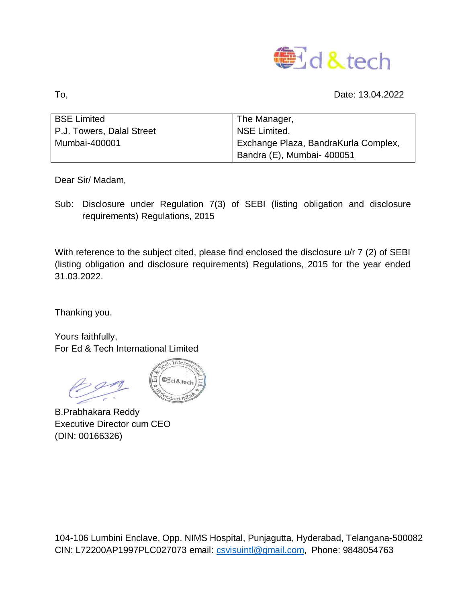

To, Date: 13.04.2022

| <b>BSE Limited</b>        | The Manager,                         |
|---------------------------|--------------------------------------|
| P.J. Towers, Dalal Street | NSE Limited.                         |
| Mumbai-400001             | Exchange Plaza, BandraKurla Complex, |
|                           | Bandra (E), Mumbai- 400051           |

Dear Sir/ Madam,

Sub: Disclosure under Regulation 7(3) of SEBI (listing obligation and disclosure requirements) Regulations, 2015

With reference to the subject cited, please find enclosed the disclosure u/r 7 (2) of SEBI (listing obligation and disclosure requirements) Regulations, 2015 for the year ended 31.03.2022.

Thanking you.

Yours faithfully, For Ed & Tech International Limited



B.Prabhakara Reddy Executive Director cum CEO (DIN: 00166326)